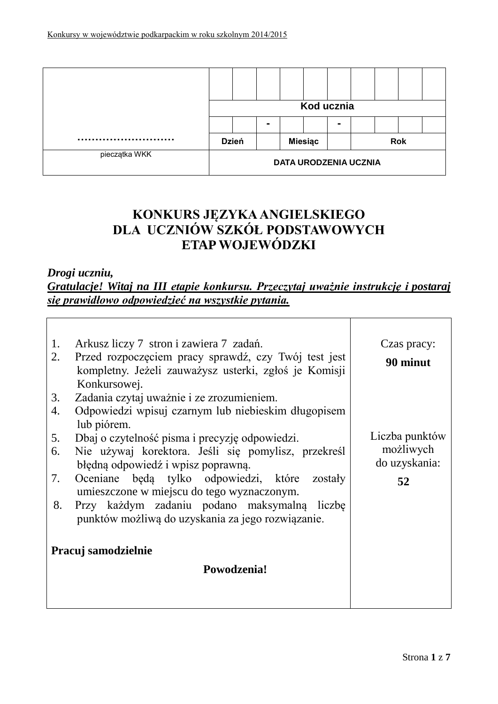|               | Kod ucznia                   |  |  |  |                |   |  |            |  |
|---------------|------------------------------|--|--|--|----------------|---|--|------------|--|
|               |                              |  |  |  |                | - |  |            |  |
|               | <b>Dzień</b>                 |  |  |  | <b>Miesiąc</b> |   |  | <b>Rok</b> |  |
| pieczątka WKK | <b>DATA URODZENIA UCZNIA</b> |  |  |  |                |   |  |            |  |

# **KONKURS JĘZYKA ANGIELSKIEGO DLA UCZNIÓW SZKÓŁ PODSTAWOWYCH ETAP WOJEWÓDZKI**

## *Drogi uczniu,*

*Gratulacje! Witaj na III etapie konkursu. Przeczytaj uważnie instrukcję i postaraj się prawidłowo odpowiedzieć na wszystkie pytania.*

| 1.<br>2.<br>3. | Arkusz liczy 7 stron i zawiera 7 zadań.<br>Przed rozpoczęciem pracy sprawdź, czy Twój test jest<br>kompletny. Jeżeli zauważysz usterki, zgłoś je Komisji<br>Konkursowej.<br>Zadania czytaj uważnie i ze zrozumieniem. | Czas pracy:<br>90 minut    |
|----------------|-----------------------------------------------------------------------------------------------------------------------------------------------------------------------------------------------------------------------|----------------------------|
| 4.             | Odpowiedzi wpisuj czarnym lub niebieskim długopisem<br>lub piórem.                                                                                                                                                    |                            |
| 5.             | Dbaj o czytelność pisma i precyzję odpowiedzi.                                                                                                                                                                        | Liczba punktów             |
| 6.             | Nie używaj korektora. Jeśli się pomylisz, przekreśl<br>błędną odpowiedź i wpisz poprawną.                                                                                                                             | możliwych<br>do uzyskania: |
| 7.             | Oceniane będą tylko odpowiedzi, które zostały<br>umieszczone w miejscu do tego wyznaczonym.                                                                                                                           | 52                         |
| 8.             | Przy każdym zadaniu podano maksymalną liczbę<br>punktów możliwą do uzyskania za jego rozwiązanie.                                                                                                                     |                            |
|                | Pracuj samodzielnie                                                                                                                                                                                                   |                            |
|                | Powodzenia!                                                                                                                                                                                                           |                            |
|                |                                                                                                                                                                                                                       |                            |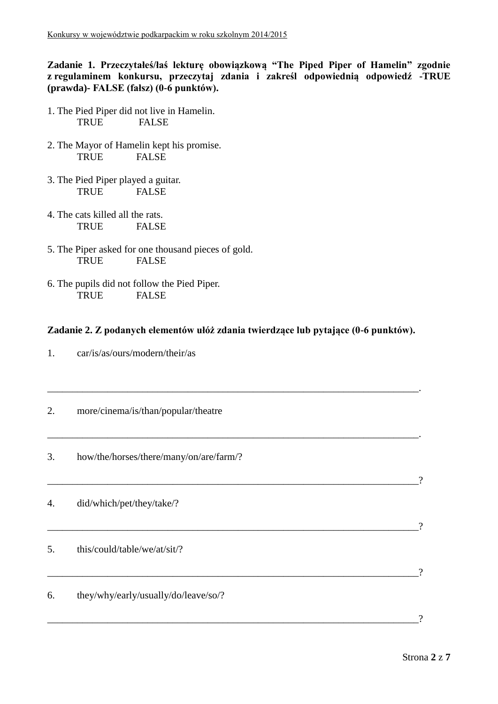**Zadanie 1. Przeczytałeś/łaś lekturę obowiązkową "The Piped Piper of Hamelin" zgodnie z regulaminem konkursu, przeczytaj zdania i zakreśl odpowiednią odpowiedź -TRUE (prawda)- FALSE (fałsz) (0-6 punktów).**

- 1. The Pied Piper did not live in Hamelin. TRUE FALSE
- 2. The Mayor of Hamelin kept his promise. TRUE FALSE
- 3. The Pied Piper played a guitar. TRUE FALSE
- 4. The cats killed all the rats. TRUE FALSE
- 5. The Piper asked for one thousand pieces of gold. TRUE FALSE
- 6. The pupils did not follow the Pied Piper. TRUE FALSE

#### **Zadanie 2. Z podanych elementów ułóż zdania twierdzące lub pytające (0-6 punktów).**

| car/is/as/ours/modern/their/as          |          |
|-----------------------------------------|----------|
| more/cinema/is/than/popular/theatre     |          |
| how/the/horses/there/many/on/are/farm/? | $\gamma$ |
| did/which/pet/they/take/?               | $\gamma$ |
| this/could/table/we/at/sit/?            | 9        |
| they/why/early/usually/do/leave/so/?    | ?        |
|                                         |          |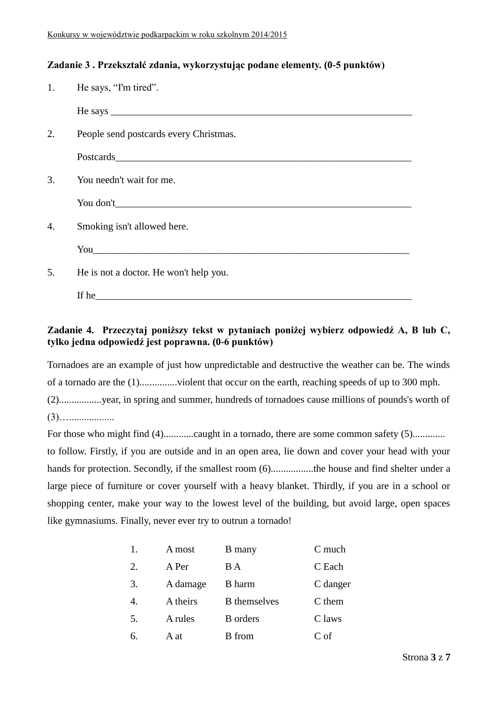#### **Zadanie 3 . Przekształć zdania, wykorzystując podane elementy. (0-5 punktów)**

| 1. | He says, "I'm tired".                  |
|----|----------------------------------------|
|    |                                        |
| 2. | People send postcards every Christmas. |
|    |                                        |
| 3. | You needn't wait for me.               |
|    | You don't                              |
| 4. | Smoking isn't allowed here.            |
|    |                                        |
| 5. | He is not a doctor. He won't help you. |
|    | If he                                  |

## **Zadanie 4. Przeczytaj poniższy tekst w pytaniach poniżej wybierz odpowiedź A, B lub C, tylko jedna odpowiedź jest poprawna. (0-6 punktów)**

Tornadoes are an example of just how unpredictable and destructive the weather can be. The winds of a tornado are the (1)...............violent that occur on the earth, reaching speeds of up to 300 mph. (2).................year, in spring and summer, hundreds of tornadoes cause millions of pounds's worth of (3)…..................

For those who might find (4)..............caught in a tornado, there are some common safety (5).............. to follow. Firstly, if you are outside and in an open area, lie down and cover your head with your hands for protection. Secondly, if the smallest room  $(6)$ .................the house and find shelter under a large piece of furniture or cover yourself with a heavy blanket. Thirdly, if you are in a school or shopping center, make your way to the lowest level of the building, but avoid large, open spaces like gymnasiums. Finally, never ever try to outrun a tornado!

| 1. | A most   | B many              | C much   |
|----|----------|---------------------|----------|
| 2. | A Per    | B A                 | C Each   |
| 3. | A damage | <b>B</b> harm       | C danger |
| 4. | A theirs | <b>B</b> themselves | C them   |
| 5. | A rules  | <b>B</b> orders     | C laws   |
| 6. | A at     | B from              | C of     |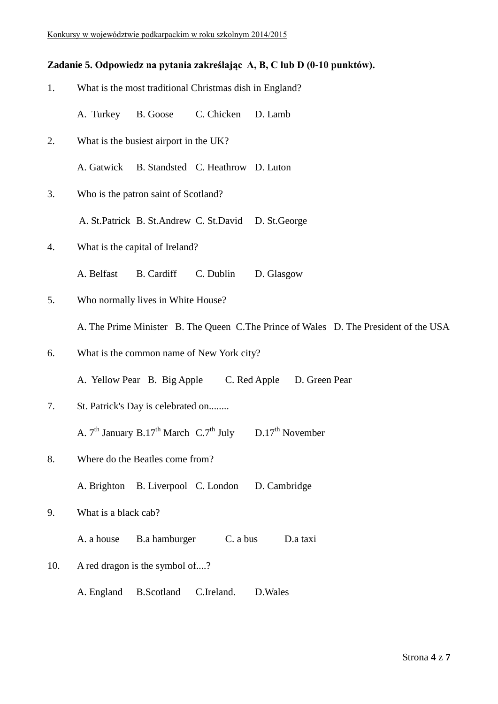#### **Zadanie 5. Odpowiedz na pytania zakreślając A, B, C lub D (0-10 punktów).**

1. What is the most traditional Christmas dish in England?

A. Turkey B. Goose C. Chicken D. Lamb

2. What is the busiest airport in the UK?

A. Gatwick B. Standsted C. Heathrow D. Luton

3. Who is the patron saint of Scotland?

A. St.Patrick B. St.Andrew C. St.David D. St.George

4. What is the capital of Ireland?

A. Belfast B. Cardiff C. Dublin D. Glasgow

5. Who normally lives in White House?

A. The Prime Minister B. The Queen C.The Prince of Wales D. The President of the USA

6. What is the common name of New York city?

A. Yellow Pear B. Big Apple C. Red Apple D. Green Pear

- 7. St. Patrick's Day is celebrated on........ A.  $7<sup>th</sup>$  January B.17<sup>th</sup> March C.7<sup>th</sup> July D.17<sup>th</sup> November
- 8. Where do the Beatles come from?

A. Brighton B. Liverpool C. London D. Cambridge

9. What is a black cab?

A. a house B.a hamburger C. a bus D.a taxi

- 10. A red dragon is the symbol of....?
	- A. England B.Scotland C.Ireland. D.Wales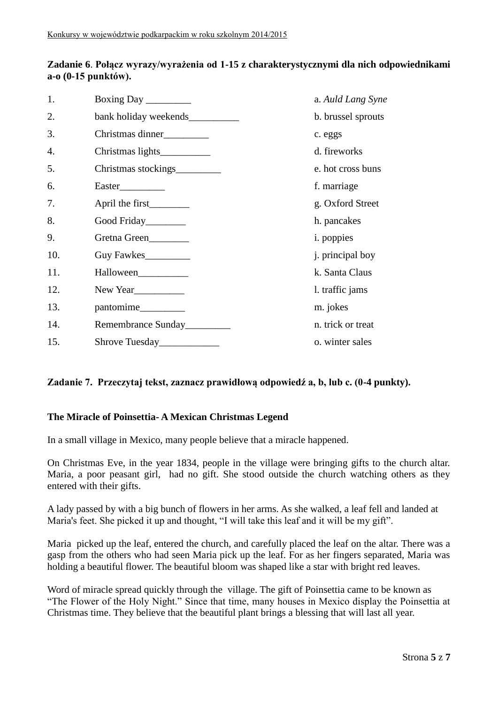### **Zadanie 6**. **Połącz wyrazy/wyrażenia od 1-15 z charakterystycznymi dla nich odpowiednikami a-o (0-15 punktów).**

| 1.  |                                   | a. Auld Lang Syne  |
|-----|-----------------------------------|--------------------|
| 2.  | bank holiday weekends____________ | b. brussel sprouts |
| 3.  | Christmas dinner                  | c. eggs            |
| 4.  |                                   | d. fireworks       |
| 5.  | Christmas stockings__________     | e. hot cross buns  |
| 6.  | Easter                            | f. marriage        |
| 7.  | April the first                   | g. Oxford Street   |
| 8.  | Good Friday_________              | h. pancakes        |
| 9.  | Gretna Green                      | <i>i</i> . poppies |
| 10. | Guy Fawkes____________            | j. principal boy   |
| 11. |                                   | k. Santa Claus     |
| 12. | New Year                          | l. traffic jams    |
| 13. | pantomime <sub>____________</sub> | m. jokes           |
| 14. | Remembrance Sunday                | n. trick or treat  |
| 15. | Shrove Tuesday                    | o. winter sales    |

### **Zadanie 7. Przeczytaj tekst, zaznacz prawidłową odpowiedź a, b, lub c. (0-4 punkty).**

#### **The Miracle of Poinsettia- A Mexican Christmas Legend**

In a small village in Mexico, many people believe that a miracle happened.

On Christmas Eve, in the year 1834, people in the village were bringing gifts to the church altar. Maria, a poor peasant girl, had no gift. She stood outside the church watching others as they entered with their gifts.

A lady passed by with a big bunch of flowers in her arms. As she walked, a leaf fell and landed at Maria's feet. She picked it up and thought, "I will take this leaf and it will be my gift".

Maria picked up the leaf, entered the church, and carefully placed the leaf on the altar. There was a gasp from the others who had seen Maria pick up the leaf. For as her fingers separated, Maria was holding a beautiful flower. The beautiful bloom was shaped like a star with bright red leaves.

Word of miracle spread quickly through the village. The gift of Poinsettia came to be known as "The Flower of the Holy Night." Since that time, many houses in Mexico display the Poinsettia at Christmas time. They believe that the beautiful plant brings a blessing that will last all year.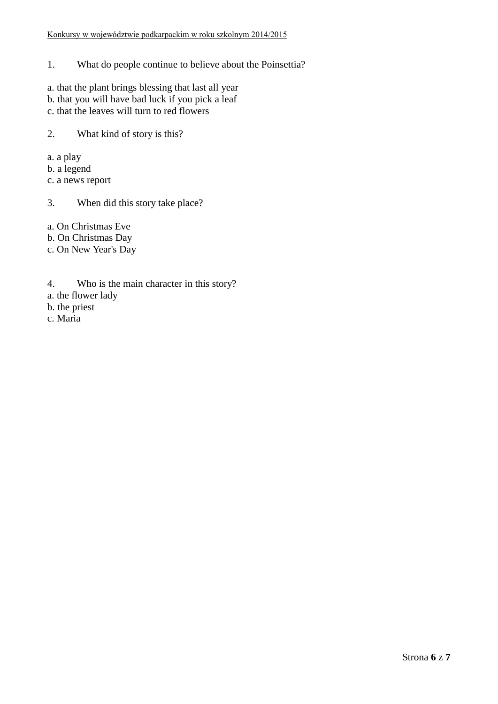## 1. What do people continue to believe about the Poinsettia?

- a. that the plant brings blessing that last all year
- b. that you will have bad luck if you pick a leaf
- c. that the leaves will turn to red flowers

2. What kind of story is this?

- a. a play
- b. a legend

c. a news report

3. When did this story take place?

- a. On Christmas Eve
- b. On Christmas Day
- c. On New Year's Day
- 4. Who is the main character in this story?
- a. the flower lady
- b. the priest
- c. Maria